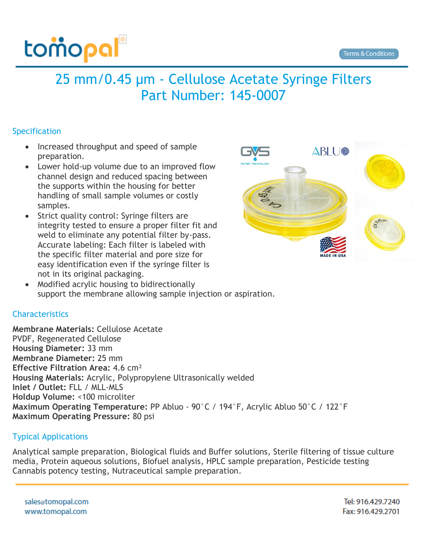

## 25 mm/0.45 µm - Cellulose Acetate Syringe Filters Part Number: 145-0007

## Specification

- Increased throughput and speed of sample preparation.
- Lower hold-up volume due to an improved flow channel design and reduced spacing between the supports within the housing for better handling of small sample volumes or costly samples.
- Strict quality control: Syringe filters are integrity tested to ensure a proper filter fit and weld to eliminate any potential filter by-pass. Accurate labeling: Each filter is labeled with the specific filter material and pore size for easy identification even if the syringe filter is not in its original packaging.



• Modified acrylic housing to bidirectionally support the membrane allowing sample injection or aspiration.

## **Characteristics**

**Membrane Materials:** Cellulose Acetate PVDF, Regenerated Cellulose **Housing Diameter:** 33 mm **Membrane Diameter:** 25 mm **Effective Filtration Area:** 4.6 cm² **Housing Materials:** Acrylic, Polypropylene Ultrasonically welded **Inlet / Outlet:** FLL / MLL-MLS **Holdup Volume:** <100 microliter **Maximum Operating Temperature:** PP Abluo - 90°C / 194°F, Acrylic Abluo 50°C / 122°F **Maximum Operating Pressure:** 80 psi

## Typical Applications

Analytical sample preparation, Biological fluids and Buffer solutions, Sterile filtering of tissue culture media, Protein aqueous solutions, Biofuel analysis, HPLC sample preparation, Pesticide testing Cannabis potency testing, Nutraceutical sample preparation.

sales@tomopal.com www.tomopal.com

Tel: 916.429.7240 Fax: 916.429.2701